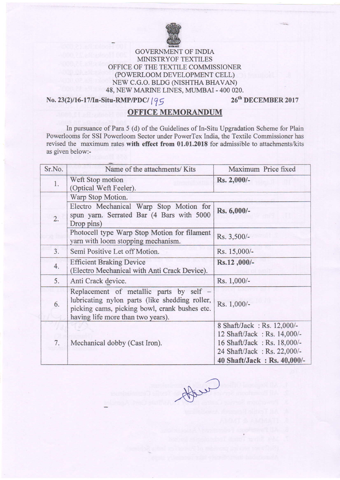

## **FRICA**<br>GOVERNMENT OF INDIA MINISTRYOF TEXTILES OFFICE OF THE TEXTILE COMMISSIONER (POWERLOOM DEVELOPMENT CELL) NEW C.G.O. BLDG (NISHTHA BHAVAN) 48, NEW MARINE LINES, MUMBAI - 400 020.<br> **itu-RMP/PDC/**  $19 \leq 26^{th}$  **DECEMBER 2017**

## No. 23(2)/16-17/In-Situ-RMP/PDC/ $195$

## OFFICE MEMORANDUM

In pursuance of Para 5 (d) of the Guidelines of In-Situ Upgradation Scheme for Plain Powerlooms for SSI Powerloom Sector under PowerTex India the Textile Commissioner has revised the maximum rates with effect from 01.01.2018 for admissible to attachments/kits as given below:-

| Sr.No. | Name of the attachments/ Kits                                                                                                                                                   | Maximum Price fixed                                        |  |
|--------|---------------------------------------------------------------------------------------------------------------------------------------------------------------------------------|------------------------------------------------------------|--|
| 1.     | Weft Stop motion<br>(Optical Weft Feeler).                                                                                                                                      | Rs. 2,000/-                                                |  |
| 2.     | Warp Stop Motion.                                                                                                                                                               |                                                            |  |
|        | Electro Mechanical Warp Stop Motion for<br>spun yarn. Serrated Bar (4 Bars with 5000<br>Drop pins)                                                                              | Rs. 6,000/-                                                |  |
|        | Photocell type Warp Stop Motion for filament<br>yarn with loom stopping mechanism.                                                                                              | Rs. 3,500/-                                                |  |
| 3.     | Semi Positive Let off Motion.                                                                                                                                                   | Rs. 15,000/-                                               |  |
| 4.     | <b>Efficient Braking Device</b><br>(Electro Mechanical with Anti Crack Device).                                                                                                 | Rs.12,000/-                                                |  |
| 5.     | Anti Crack device.                                                                                                                                                              | Rs. 1,000/-                                                |  |
| 6.     | Replacement of metallic parts by self -<br>lubricating nylon parts (like shedding roller,<br>picking cams, picking bowl, crank bushes etc.<br>having life more than two years). | Rs. 1,000/-                                                |  |
| 7.     |                                                                                                                                                                                 | 8 Shaft/Jack: Rs. 12,000/-<br>12 Shaft/Jack: Rs. 14,000/-  |  |
|        | Mechanical dobby (Cast Iron).                                                                                                                                                   | 16 Shaft/Jack: Rs. 18,000/-<br>24 Shaft/Jack: Rs. 22,000/- |  |
|        |                                                                                                                                                                                 | 40 Shaft/Jack: Rs. 40,000/-                                |  |